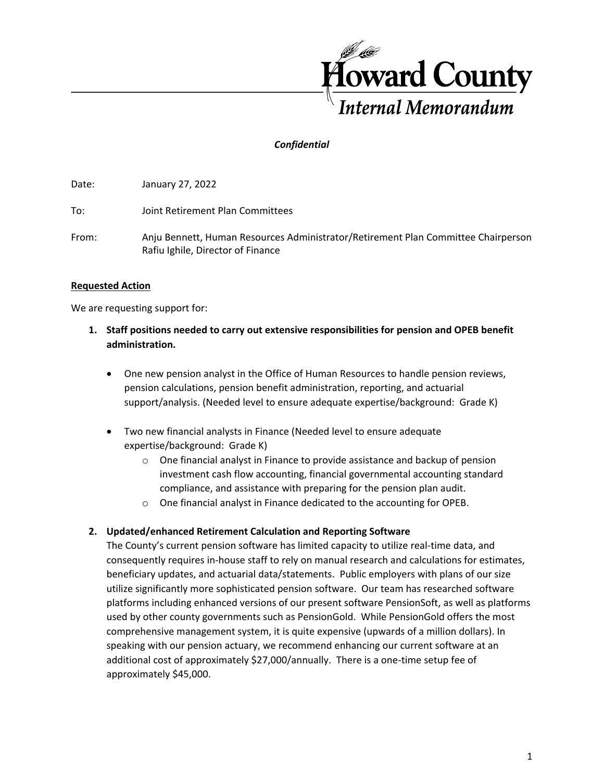

# *Confidential*

Date: January 27, 2022

To: Joint Retirement Plan Committees

From: Anju Bennett, Human Resources Administrator/Retirement Plan Committee Chairperson Rafiu Ighile, Director of Finance

### **Requested Action**

We are requesting support for:

- **1. Staff positions needed to carry out extensive responsibilities for pension and OPEB benefit administration.** 
	- One new pension analyst in the Office of Human Resources to handle pension reviews, pension calculations, pension benefit administration, reporting, and actuarial support/analysis. (Needed level to ensure adequate expertise/background: Grade K)
	- Two new financial analysts in Finance (Needed level to ensure adequate expertise/background: Grade K)
		- $\circ$  One financial analyst in Finance to provide assistance and backup of pension investment cash flow accounting, financial governmental accounting standard compliance, and assistance with preparing for the pension plan audit.
		- o One financial analyst in Finance dedicated to the accounting for OPEB.

## **2. Updated/enhanced Retirement Calculation and Reporting Software**

The County's current pension software has limited capacity to utilize real-time data, and consequently requires in-house staff to rely on manual research and calculations for estimates, beneficiary updates, and actuarial data/statements. Public employers with plans of our size utilize significantly more sophisticated pension software. Our team has researched software platforms including enhanced versions of our present software PensionSoft, as well as platforms used by other county governments such as PensionGold. While PensionGold offers the most comprehensive management system, it is quite expensive (upwards of a million dollars). In speaking with our pension actuary, we recommend enhancing our current software at an additional cost of approximately \$27,000/annually. There is a one-time setup fee of approximately \$45,000.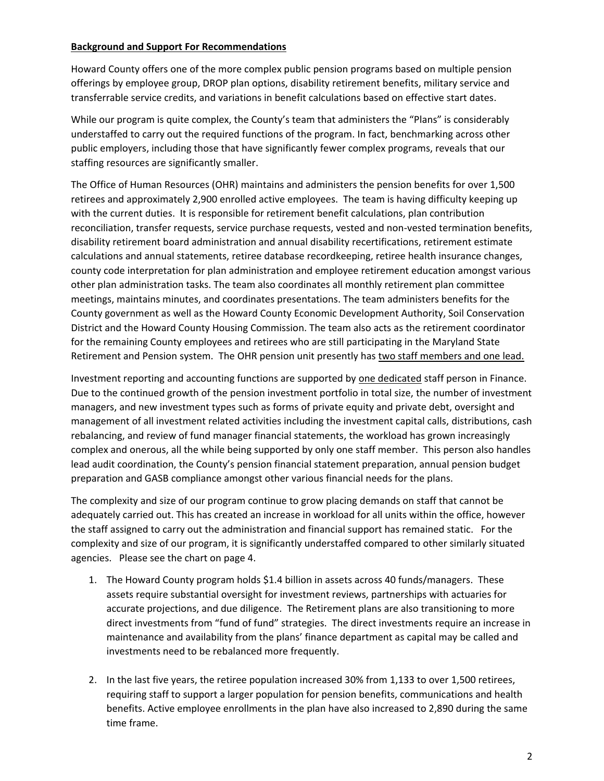### **Background and Support For Recommendations**

Howard County offers one of the more complex public pension programs based on multiple pension offerings by employee group, DROP plan options, disability retirement benefits, military service and transferrable service credits, and variations in benefit calculations based on effective start dates.

While our program is quite complex, the County's team that administers the "Plans" is considerably understaffed to carry out the required functions of the program. In fact, benchmarking across other public employers, including those that have significantly fewer complex programs, reveals that our staffing resources are significantly smaller.

The Office of Human Resources (OHR) maintains and administers the pension benefits for over 1,500 retirees and approximately 2,900 enrolled active employees. The team is having difficulty keeping up with the current duties. It is responsible for retirement benefit calculations, plan contribution reconciliation, transfer requests, service purchase requests, vested and non-vested termination benefits, disability retirement board administration and annual disability recertifications, retirement estimate calculations and annual statements, retiree database recordkeeping, retiree health insurance changes, county code interpretation for plan administration and employee retirement education amongst various other plan administration tasks. The team also coordinates all monthly retirement plan committee meetings, maintains minutes, and coordinates presentations. The team administers benefits for the County government as well as the Howard County Economic Development Authority, Soil Conservation District and the Howard County Housing Commission. The team also acts as the retirement coordinator for the remaining County employees and retirees who are still participating in the Maryland State Retirement and Pension system. The OHR pension unit presently has two staff members and one lead.

Investment reporting and accounting functions are supported by one dedicated staff person in Finance. Due to the continued growth of the pension investment portfolio in total size, the number of investment managers, and new investment types such as forms of private equity and private debt, oversight and management of all investment related activities including the investment capital calls, distributions, cash rebalancing, and review of fund manager financial statements, the workload has grown increasingly complex and onerous, all the while being supported by only one staff member. This person also handles lead audit coordination, the County's pension financial statement preparation, annual pension budget preparation and GASB compliance amongst other various financial needs for the plans.

The complexity and size of our program continue to grow placing demands on staff that cannot be adequately carried out. This has created an increase in workload for all units within the office, however the staff assigned to carry out the administration and financial support has remained static. For the complexity and size of our program, it is significantly understaffed compared to other similarly situated agencies. Please see the chart on page 4.

- 1. The Howard County program holds \$1.4 billion in assets across 40 funds/managers. These assets require substantial oversight for investment reviews, partnerships with actuaries for accurate projections, and due diligence. The Retirement plans are also transitioning to more direct investments from "fund of fund" strategies. The direct investments require an increase in maintenance and availability from the plans' finance department as capital may be called and investments need to be rebalanced more frequently.
- 2. In the last five years, the retiree population increased 30% from 1,133 to over 1,500 retirees, requiring staff to support a larger population for pension benefits, communications and health benefits. Active employee enrollments in the plan have also increased to 2,890 during the same time frame.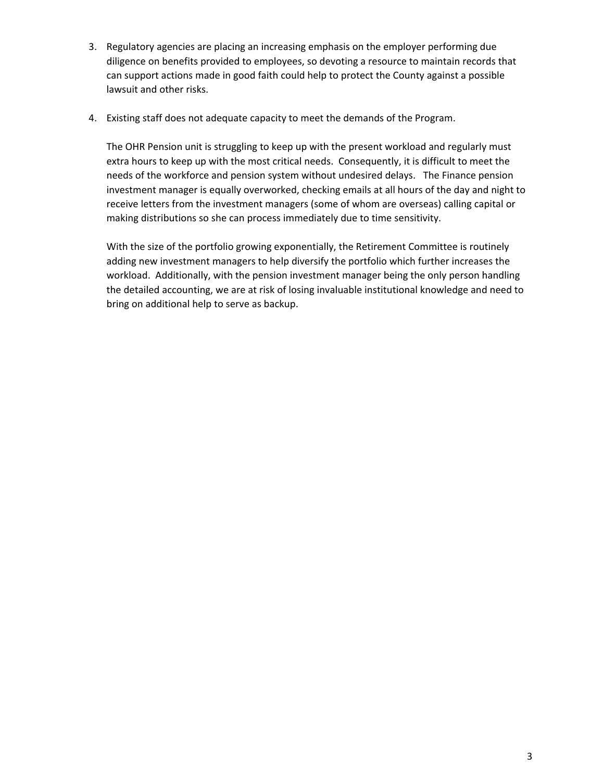- 3. Regulatory agencies are placing an increasing emphasis on the employer performing due diligence on benefits provided to employees, so devoting a resource to maintain records that can support actions made in good faith could help to protect the County against a possible lawsuit and other risks.
- 4. Existing staff does not adequate capacity to meet the demands of the Program.

The OHR Pension unit is struggling to keep up with the present workload and regularly must extra hours to keep up with the most critical needs. Consequently, it is difficult to meet the needs of the workforce and pension system without undesired delays. The Finance pension investment manager is equally overworked, checking emails at all hours of the day and night to receive letters from the investment managers (some of whom are overseas) calling capital or making distributions so she can process immediately due to time sensitivity.

With the size of the portfolio growing exponentially, the Retirement Committee is routinely adding new investment managers to help diversify the portfolio which further increases the workload. Additionally, with the pension investment manager being the only person handling the detailed accounting, we are at risk of losing invaluable institutional knowledge and need to bring on additional help to serve as backup.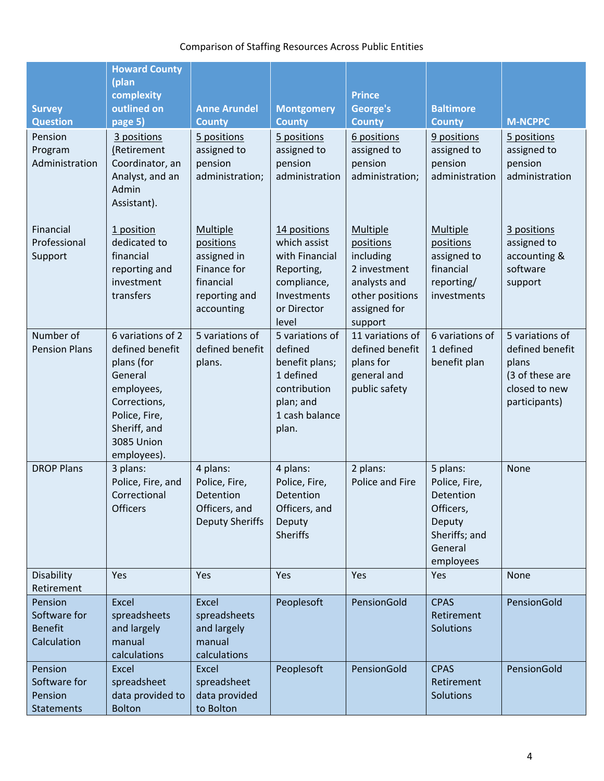# Comparison of Staffing Resources Across Public Entities

| <b>Survey</b><br><b>Question</b>                         | <b>Howard County</b><br>(plan<br>complexity<br>outlined on<br>page 5)                                                                                            | <b>Anne Arundel</b><br><b>County</b>                                                            | <b>Montgomery</b><br><b>County</b>                                                                                 | <b>Prince</b><br>George's<br><b>County</b>                                                                              | <b>Baltimore</b><br><b>County</b>                                                                      | <b>M-NCPPC</b>                                                                                   |
|----------------------------------------------------------|------------------------------------------------------------------------------------------------------------------------------------------------------------------|-------------------------------------------------------------------------------------------------|--------------------------------------------------------------------------------------------------------------------|-------------------------------------------------------------------------------------------------------------------------|--------------------------------------------------------------------------------------------------------|--------------------------------------------------------------------------------------------------|
| Pension<br>Program<br>Administration                     | 3 positions<br>(Retirement<br>Coordinator, an<br>Analyst, and an<br>Admin<br>Assistant).                                                                         | 5 positions<br>assigned to<br>pension<br>administration;                                        | 5 positions<br>assigned to<br>pension<br>administration                                                            | 6 positions<br>assigned to<br>pension<br>administration;                                                                | 9 positions<br>assigned to<br>pension<br>administration                                                | 5 positions<br>assigned to<br>pension<br>administration                                          |
| Financial<br>Professional<br>Support                     | 1 position<br>dedicated to<br>financial<br>reporting and<br>investment<br>transfers                                                                              | Multiple<br>positions<br>assigned in<br>Finance for<br>financial<br>reporting and<br>accounting | 14 positions<br>which assist<br>with Financial<br>Reporting,<br>compliance,<br>Investments<br>or Director<br>level | <b>Multiple</b><br>positions<br>including<br>2 investment<br>analysts and<br>other positions<br>assigned for<br>support | Multiple<br>positions<br>assigned to<br>financial<br>reporting/<br>investments                         | 3 positions<br>assigned to<br>accounting &<br>software<br>support                                |
| Number of<br><b>Pension Plans</b>                        | 6 variations of 2<br>defined benefit<br>plans (for<br>General<br>employees,<br>Corrections,<br>Police, Fire,<br>Sheriff, and<br><b>3085 Union</b><br>employees). | 5 variations of<br>defined benefit<br>plans.                                                    | 5 variations of<br>defined<br>benefit plans;<br>1 defined<br>contribution<br>plan; and<br>1 cash balance<br>plan.  | 11 variations of<br>defined benefit<br>plans for<br>general and<br>public safety                                        | 6 variations of<br>1 defined<br>benefit plan                                                           | 5 variations of<br>defined benefit<br>plans<br>(3 of these are<br>closed to new<br>participants) |
| <b>DROP Plans</b>                                        | 3 plans:<br>Police, Fire, and<br>Correctional<br><b>Officers</b>                                                                                                 | 4 plans:<br>Police, Fire,<br>Detention<br>Officers, and<br><b>Deputy Sheriffs</b>               | 4 plans:<br>Police, Fire,<br>Detention<br>Officers, and<br>Deputy<br><b>Sheriffs</b>                               | 2 plans:<br>Police and Fire                                                                                             | 5 plans:<br>Police, Fire,<br>Detention<br>Officers,<br>Deputy<br>Sheriffs; and<br>General<br>employees | None                                                                                             |
| Disability<br>Retirement                                 | Yes                                                                                                                                                              | Yes                                                                                             | Yes                                                                                                                | Yes                                                                                                                     | Yes                                                                                                    | None                                                                                             |
| Pension<br>Software for<br><b>Benefit</b><br>Calculation | Excel<br>spreadsheets<br>and largely<br>manual<br>calculations                                                                                                   | Excel<br>spreadsheets<br>and largely<br>manual<br>calculations                                  | Peoplesoft                                                                                                         | PensionGold                                                                                                             | <b>CPAS</b><br>Retirement<br><b>Solutions</b>                                                          | PensionGold                                                                                      |
| Pension<br>Software for<br>Pension<br><b>Statements</b>  | Excel<br>spreadsheet<br>data provided to<br><b>Bolton</b>                                                                                                        | Excel<br>spreadsheet<br>data provided<br>to Bolton                                              | Peoplesoft                                                                                                         | PensionGold                                                                                                             | <b>CPAS</b><br>Retirement<br>Solutions                                                                 | PensionGold                                                                                      |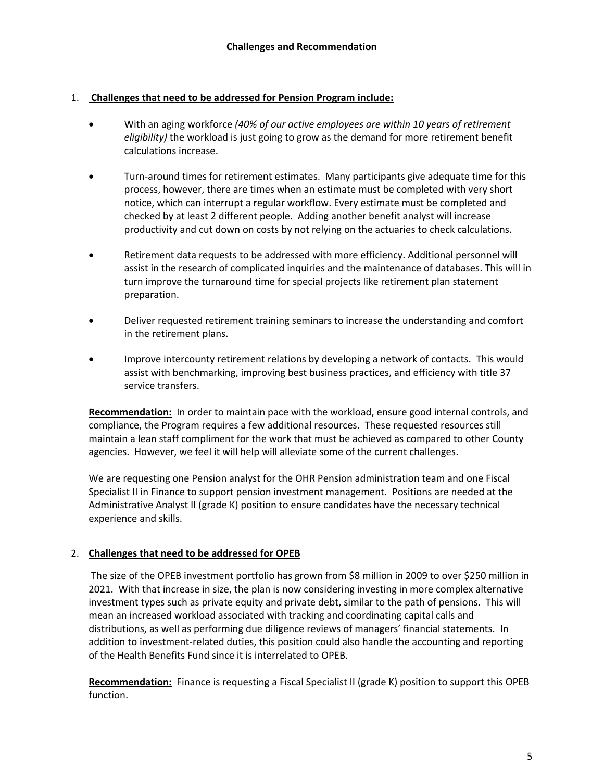### 1. **Challenges that need to be addressed for Pension Program include:**

- With an aging workforce *(40% of our active employees are within 10 years of retirement eligibility)* the workload is just going to grow as the demand for more retirement benefit calculations increase.
- Turn-around times for retirement estimates. Many participants give adequate time for this process, however, there are times when an estimate must be completed with very short notice, which can interrupt a regular workflow. Every estimate must be completed and checked by at least 2 different people. Adding another benefit analyst will increase productivity and cut down on costs by not relying on the actuaries to check calculations.
- Retirement data requests to be addressed with more efficiency. Additional personnel will assist in the research of complicated inquiries and the maintenance of databases. This will in turn improve the turnaround time for special projects like retirement plan statement preparation.
- Deliver requested retirement training seminars to increase the understanding and comfort in the retirement plans.
- Improve intercounty retirement relations by developing a network of contacts. This would assist with benchmarking, improving best business practices, and efficiency with title 37 service transfers.

**Recommendation:** In order to maintain pace with the workload, ensure good internal controls, and compliance, the Program requires a few additional resources. These requested resources still maintain a lean staff compliment for the work that must be achieved as compared to other County agencies. However, we feel it will help will alleviate some of the current challenges.

We are requesting one Pension analyst for the OHR Pension administration team and one Fiscal Specialist II in Finance to support pension investment management. Positions are needed at the Administrative Analyst II (grade K) position to ensure candidates have the necessary technical experience and skills.

## 2. **Challenges that need to be addressed for OPEB**

The size of the OPEB investment portfolio has grown from \$8 million in 2009 to over \$250 million in 2021. With that increase in size, the plan is now considering investing in more complex alternative investment types such as private equity and private debt, similar to the path of pensions. This will mean an increased workload associated with tracking and coordinating capital calls and distributions, as well as performing due diligence reviews of managers' financial statements. In addition to investment-related duties, this position could also handle the accounting and reporting of the Health Benefits Fund since it is interrelated to OPEB.

**Recommendation:** Finance is requesting a Fiscal Specialist II (grade K) position to support this OPEB function.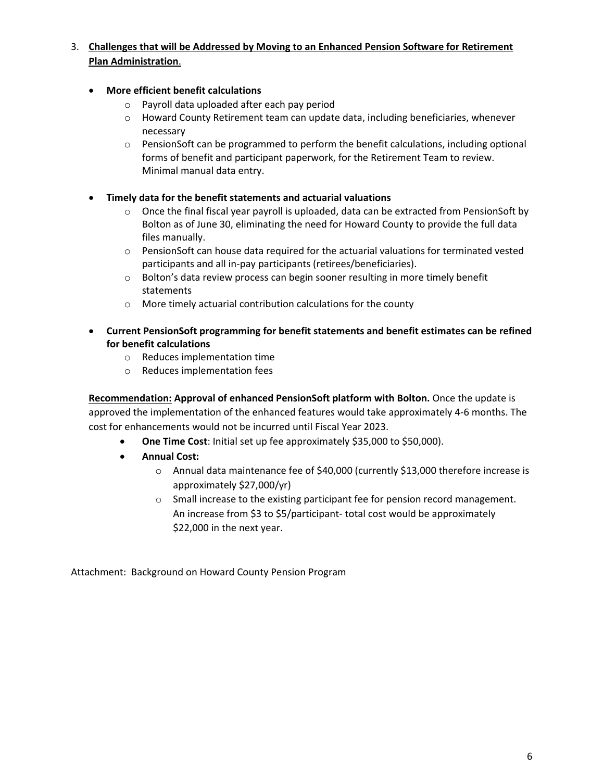- 3. **Challenges that will be Addressed by Moving to an Enhanced Pension Software for Retirement Plan Administration**.
	- **More efficient benefit calculations**
		- o Payroll data uploaded after each pay period
		- $\circ$  Howard County Retirement team can update data, including beneficiaries, whenever necessary
		- $\circ$  PensionSoft can be programmed to perform the benefit calculations, including optional forms of benefit and participant paperwork, for the Retirement Team to review. Minimal manual data entry.
	- **Timely data for the benefit statements and actuarial valuations**
		- $\circ$  Once the final fiscal year payroll is uploaded, data can be extracted from PensionSoft by Bolton as of June 30, eliminating the need for Howard County to provide the full data files manually.
		- $\circ$  PensionSoft can house data required for the actuarial valuations for terminated vested participants and all in-pay participants (retirees/beneficiaries).
		- o Bolton's data review process can begin sooner resulting in more timely benefit statements
		- o More timely actuarial contribution calculations for the county
	- **Current PensionSoft programming for benefit statements and benefit estimates can be refined for benefit calculations**
		- o Reduces implementation time
		- o Reduces implementation fees

**Recommendation: Approval of enhanced PensionSoft platform with Bolton.** Once the update is approved the implementation of the enhanced features would take approximately 4-6 months. The cost for enhancements would not be incurred until Fiscal Year 2023.

- **One Time Cost**: Initial set up fee approximately \$35,000 to \$50,000).
- **Annual Cost:**
	- o Annual data maintenance fee of \$40,000 (currently \$13,000 therefore increase is approximately \$27,000/yr)
	- o Small increase to the existing participant fee for pension record management. An increase from \$3 to \$5/participant- total cost would be approximately \$22,000 in the next year.

Attachment: Background on Howard County Pension Program